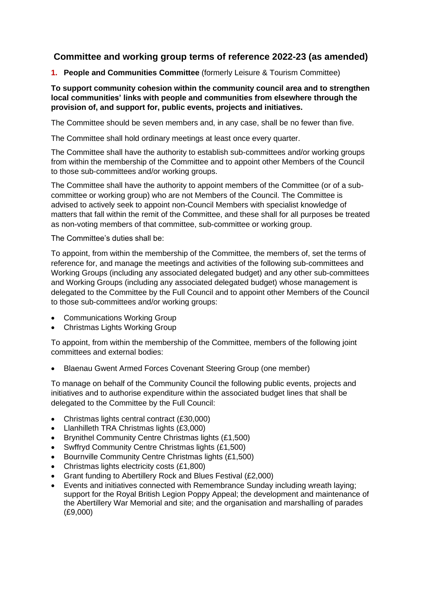# **Committee and working group terms of reference 2022-23 (as amended)**

**1. People and Communities Committee** (formerly Leisure & Tourism Committee)

# **To support community cohesion within the community council area and to strengthen local communities' links with people and communities from elsewhere through the provision of, and support for, public events, projects and initiatives.**

The Committee should be seven members and, in any case, shall be no fewer than five.

The Committee shall hold ordinary meetings at least once every quarter.

The Committee shall have the authority to establish sub-committees and/or working groups from within the membership of the Committee and to appoint other Members of the Council to those sub-committees and/or working groups.

The Committee shall have the authority to appoint members of the Committee (or of a subcommittee or working group) who are not Members of the Council. The Committee is advised to actively seek to appoint non-Council Members with specialist knowledge of matters that fall within the remit of the Committee, and these shall for all purposes be treated as non-voting members of that committee, sub-committee or working group.

The Committee's duties shall be:

To appoint, from within the membership of the Committee, the members of, set the terms of reference for, and manage the meetings and activities of the following sub-committees and Working Groups (including any associated delegated budget) and any other sub-committees and Working Groups (including any associated delegated budget) whose management is delegated to the Committee by the Full Council and to appoint other Members of the Council to those sub-committees and/or working groups:

- Communications Working Group
- Christmas Lights Working Group

To appoint, from within the membership of the Committee, members of the following joint committees and external bodies:

• Blaenau Gwent Armed Forces Covenant Steering Group (one member)

To manage on behalf of the Community Council the following public events, projects and initiatives and to authorise expenditure within the associated budget lines that shall be delegated to the Committee by the Full Council:

- Christmas lights central contract (£30,000)
- Llanhilleth TRA Christmas lights (£3,000)
- Brynithel Community Centre Christmas lights (£1,500)
- Swffryd Community Centre Christmas lights (£1,500)
- Bournville Community Centre Christmas lights (£1,500)
- Christmas lights electricity costs (£1,800)
- Grant funding to Abertillery Rock and Blues Festival (£2,000)
- Events and initiatives connected with Remembrance Sunday including wreath laying; support for the Royal British Legion Poppy Appeal; the development and maintenance of the Abertillery War Memorial and site; and the organisation and marshalling of parades (£9,000)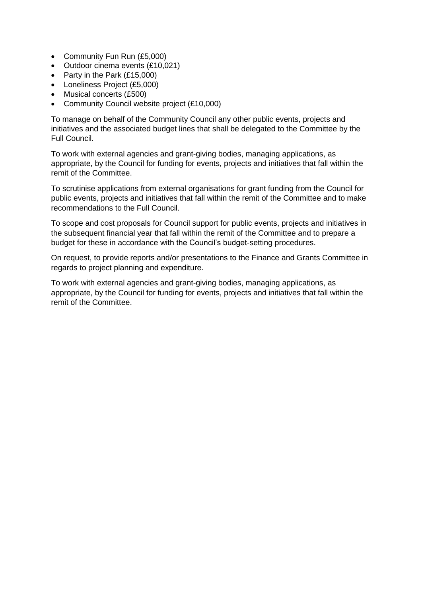- Community Fun Run (£5,000)
- Outdoor cinema events (£10,021)
- Party in the Park (£15,000)
- Loneliness Project (£5,000)
- Musical concerts (£500)
- Community Council website project (£10,000)

To manage on behalf of the Community Council any other public events, projects and initiatives and the associated budget lines that shall be delegated to the Committee by the Full Council.

To work with external agencies and grant-giving bodies, managing applications, as appropriate, by the Council for funding for events, projects and initiatives that fall within the remit of the Committee.

To scrutinise applications from external organisations for grant funding from the Council for public events, projects and initiatives that fall within the remit of the Committee and to make recommendations to the Full Council.

To scope and cost proposals for Council support for public events, projects and initiatives in the subsequent financial year that fall within the remit of the Committee and to prepare a budget for these in accordance with the Council's budget-setting procedures.

On request, to provide reports and/or presentations to the Finance and Grants Committee in regards to project planning and expenditure.

To work with external agencies and grant-giving bodies, managing applications, as appropriate, by the Council for funding for events, projects and initiatives that fall within the remit of the Committee.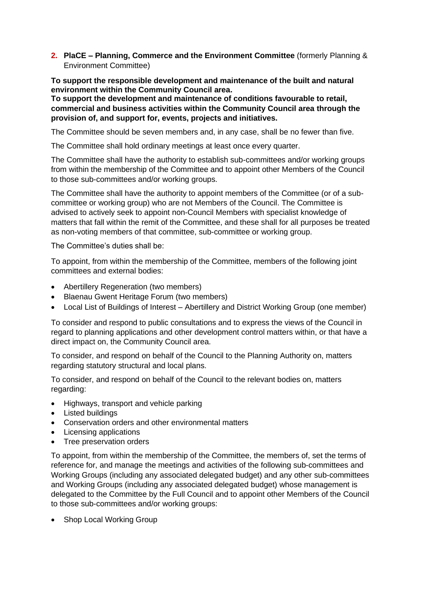**2. PlaCE – Planning, Commerce and the Environment Committee** (formerly Planning & Environment Committee)

**To support the responsible development and maintenance of the built and natural environment within the Community Council area.**

**To support the development and maintenance of conditions favourable to retail, commercial and business activities within the Community Council area through the provision of, and support for, events, projects and initiatives.**

The Committee should be seven members and, in any case, shall be no fewer than five.

The Committee shall hold ordinary meetings at least once every quarter.

The Committee shall have the authority to establish sub-committees and/or working groups from within the membership of the Committee and to appoint other Members of the Council to those sub-committees and/or working groups.

The Committee shall have the authority to appoint members of the Committee (or of a subcommittee or working group) who are not Members of the Council. The Committee is advised to actively seek to appoint non-Council Members with specialist knowledge of matters that fall within the remit of the Committee, and these shall for all purposes be treated as non-voting members of that committee, sub-committee or working group.

The Committee's duties shall be:

To appoint, from within the membership of the Committee, members of the following joint committees and external bodies:

- Abertillery Regeneration (two members)
- Blaenau Gwent Heritage Forum (two members)
- Local List of Buildings of Interest Abertillery and District Working Group (one member)

To consider and respond to public consultations and to express the views of the Council in regard to planning applications and other development control matters within, or that have a direct impact on, the Community Council area.

To consider, and respond on behalf of the Council to the Planning Authority on, matters regarding statutory structural and local plans.

To consider, and respond on behalf of the Council to the relevant bodies on, matters regarding:

- Highways, transport and vehicle parking
- Listed buildings
- Conservation orders and other environmental matters
- Licensing applications
- Tree preservation orders

To appoint, from within the membership of the Committee, the members of, set the terms of reference for, and manage the meetings and activities of the following sub-committees and Working Groups (including any associated delegated budget) and any other sub-committees and Working Groups (including any associated delegated budget) whose management is delegated to the Committee by the Full Council and to appoint other Members of the Council to those sub-committees and/or working groups:

• Shop Local Working Group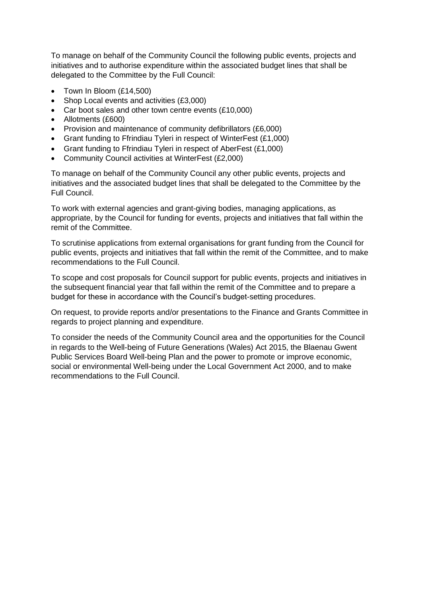To manage on behalf of the Community Council the following public events, projects and initiatives and to authorise expenditure within the associated budget lines that shall be delegated to the Committee by the Full Council:

- Town In Bloom (£14,500)
- Shop Local events and activities (£3,000)
- Car boot sales and other town centre events (£10,000)
- Allotments (£600)
- Provision and maintenance of community defibrillators (£6,000)
- Grant funding to Ffrindiau Tyleri in respect of WinterFest (£1,000)
- Grant funding to Ffrindiau Tyleri in respect of AberFest (£1,000)
- Community Council activities at WinterFest (£2,000)

To manage on behalf of the Community Council any other public events, projects and initiatives and the associated budget lines that shall be delegated to the Committee by the Full Council.

To work with external agencies and grant-giving bodies, managing applications, as appropriate, by the Council for funding for events, projects and initiatives that fall within the remit of the Committee.

To scrutinise applications from external organisations for grant funding from the Council for public events, projects and initiatives that fall within the remit of the Committee, and to make recommendations to the Full Council.

To scope and cost proposals for Council support for public events, projects and initiatives in the subsequent financial year that fall within the remit of the Committee and to prepare a budget for these in accordance with the Council's budget-setting procedures.

On request, to provide reports and/or presentations to the Finance and Grants Committee in regards to project planning and expenditure.

To consider the needs of the Community Council area and the opportunities for the Council in regards to the Well-being of Future Generations (Wales) Act 2015, the Blaenau Gwent Public Services Board Well-being Plan and the power to promote or improve economic, social or environmental Well-being under the Local Government Act 2000, and to make recommendations to the Full Council.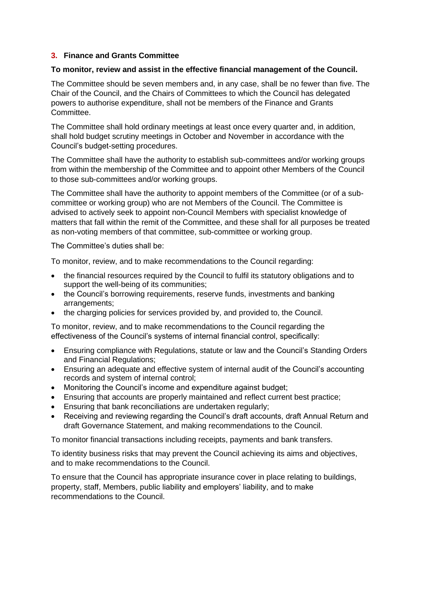# **3. Finance and Grants Committee**

# **To monitor, review and assist in the effective financial management of the Council.**

The Committee should be seven members and, in any case, shall be no fewer than five. The Chair of the Council, and the Chairs of Committees to which the Council has delegated powers to authorise expenditure, shall not be members of the Finance and Grants Committee.

The Committee shall hold ordinary meetings at least once every quarter and, in addition, shall hold budget scrutiny meetings in October and November in accordance with the Council's budget-setting procedures.

The Committee shall have the authority to establish sub-committees and/or working groups from within the membership of the Committee and to appoint other Members of the Council to those sub-committees and/or working groups.

The Committee shall have the authority to appoint members of the Committee (or of a subcommittee or working group) who are not Members of the Council. The Committee is advised to actively seek to appoint non-Council Members with specialist knowledge of matters that fall within the remit of the Committee, and these shall for all purposes be treated as non-voting members of that committee, sub-committee or working group.

The Committee's duties shall be:

To monitor, review, and to make recommendations to the Council regarding:

- the financial resources required by the Council to fulfil its statutory obligations and to support the well-being of its communities;
- the Council's borrowing requirements, reserve funds, investments and banking arrangements;
- the charging policies for services provided by, and provided to, the Council.

To monitor, review, and to make recommendations to the Council regarding the effectiveness of the Council's systems of internal financial control, specifically:

- Ensuring compliance with Regulations, statute or law and the Council's Standing Orders and Financial Regulations;
- Ensuring an adequate and effective system of internal audit of the Council's accounting records and system of internal control;
- Monitoring the Council's income and expenditure against budget;
- Ensuring that accounts are properly maintained and reflect current best practice;
- Ensuring that bank reconciliations are undertaken regularly;
- Receiving and reviewing regarding the Council's draft accounts, draft Annual Return and draft Governance Statement, and making recommendations to the Council.

To monitor financial transactions including receipts, payments and bank transfers.

To identity business risks that may prevent the Council achieving its aims and objectives, and to make recommendations to the Council.

To ensure that the Council has appropriate insurance cover in place relating to buildings, property, staff, Members, public liability and employers' liability, and to make recommendations to the Council.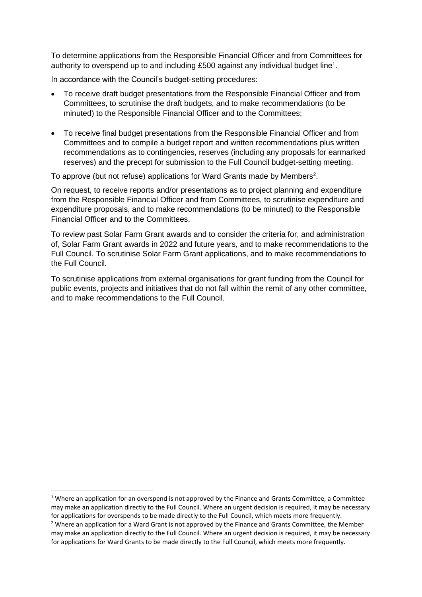To determine applications from the Responsible Financial Officer and from Committees for authority to overspend up to and including £500 against any individual budget line<sup>1</sup>.

In accordance with the Council's budget-setting procedures:

- To receive draft budget presentations from the Responsible Financial Officer and from Committees, to scrutinise the draft budgets, and to make recommendations (to be minuted) to the Responsible Financial Officer and to the Committees;
- To receive final budget presentations from the Responsible Financial Officer and from Committees and to compile a budget report and written recommendations plus written recommendations as to contingencies, reserves (including any proposals for earmarked reserves) and the precept for submission to the Full Council budget-setting meeting.

To approve (but not refuse) applications for Ward Grants made by Members<sup>2</sup>.

On request, to receive reports and/or presentations as to project planning and expenditure from the Responsible Financial Officer and from Committees, to scrutinise expenditure and expenditure proposals, and to make recommendations (to be minuted) to the Responsible Financial Officer and to the Committees.

To review past Solar Farm Grant awards and to consider the criteria for, and administration of, Solar Farm Grant awards in 2022 and future years, and to make recommendations to the Full Council. To scrutinise Solar Farm Grant applications, and to make recommendations to the Full Council.

To scrutinise applications from external organisations for grant funding from the Council for public events, projects and initiatives that do not fall within the remit of any other committee, and to make recommendations to the Full Council.

<sup>&</sup>lt;sup>1</sup> Where an application for an overspend is not approved by the Finance and Grants Committee, a Committee may make an application directly to the Full Council. Where an urgent decision is required, it may be necessary for applications for overspends to be made directly to the Full Council, which meets more frequently.  $2$  Where an application for a Ward Grant is not approved by the Finance and Grants Committee, the Member

may make an application directly to the Full Council. Where an urgent decision is required, it may be necessary for applications for Ward Grants to be made directly to the Full Council, which meets more frequently.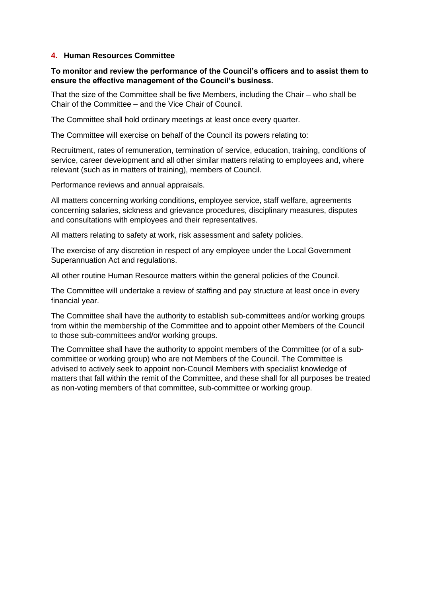#### **4. Human Resources Committee**

# **To monitor and review the performance of the Council's officers and to assist them to ensure the effective management of the Council's business.**

That the size of the Committee shall be five Members, including the Chair – who shall be Chair of the Committee – and the Vice Chair of Council.

The Committee shall hold ordinary meetings at least once every quarter.

The Committee will exercise on behalf of the Council its powers relating to:

Recruitment, rates of remuneration, termination of service, education, training, conditions of service, career development and all other similar matters relating to employees and, where relevant (such as in matters of training), members of Council.

Performance reviews and annual appraisals.

All matters concerning working conditions, employee service, staff welfare, agreements concerning salaries, sickness and grievance procedures, disciplinary measures, disputes and consultations with employees and their representatives.

All matters relating to safety at work, risk assessment and safety policies.

The exercise of any discretion in respect of any employee under the Local Government Superannuation Act and regulations.

All other routine Human Resource matters within the general policies of the Council.

The Committee will undertake a review of staffing and pay structure at least once in every financial year.

The Committee shall have the authority to establish sub-committees and/or working groups from within the membership of the Committee and to appoint other Members of the Council to those sub-committees and/or working groups.

The Committee shall have the authority to appoint members of the Committee (or of a subcommittee or working group) who are not Members of the Council. The Committee is advised to actively seek to appoint non-Council Members with specialist knowledge of matters that fall within the remit of the Committee, and these shall for all purposes be treated as non-voting members of that committee, sub-committee or working group.